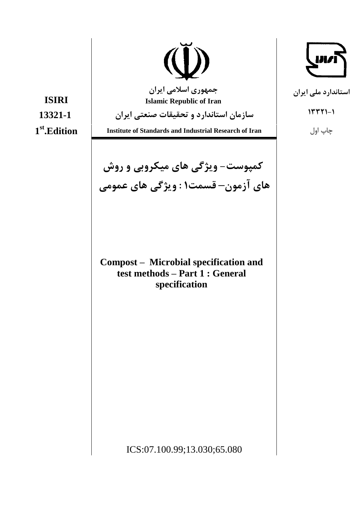

جمهوری اسلامی ایران **Islamic Republic of Iran** 

سازمان استاندارد و تحقیقات صنعتی ایران

**Institute of Standards and Industrial Research of Iran** 

**کمپوست- ویژگی های میکروبی و روش** های آزمون-قسمت۱: ویژگی های عمومی

Compost - Microbial specification and test methods – Part 1 : General specification

**ISIRI** 13321-1  $1<sup>st</sup>$ . Edition





 $1557 - 1$ 

استاندارد ملی ایران

چاپ اول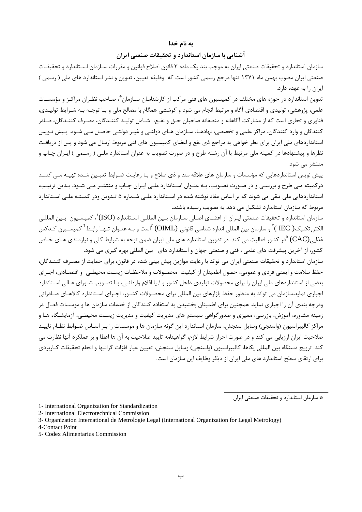#### به نام خدا

### آشنایی با سازمان استاندارد و تحقیقات صنعتی ایران

سازمان استاندارد و تحقیقات صنعتی ایران به موجب بند یک ماده ۳ قانون اصلاح قوانین و مقررات سـازمان اسـتاندارد و تحقیقـات صنعتی ایران مصوب بهمن ماه ۱۳۷۱ تنها مرجع رسمی کشور است که وظیفه تعیین، تدوین و نشر استاندارد های ملی ( رسمی ) ایران را به عهده دارد.

.<br>تدوین استاندارد در حوزه های مختلف در کمیسیون های فنی مرکب از کارشناسان سـازمان ٌ، صـاحب نظـران مراکـز و مؤسسـات علمي، پژوهشي، توليدي و اقتصادي آگاه و مرتبط انجام مي شود و كوششي همگام با مصالح ملي و بـا توجـه بـه شـرايط توليـدي، فناوری و تجاری است که از مشارکت آگاهانه و منصفانه صاحبان حــق و نفــع، شــامل تولیــد کننــدگان، مصـرف کننــدگان، صــادر کنندگان و وارد کنندگان، مراکز علمی و تخصصی، نهادهـا، سـازمان هـای دولتـی و غیـر دولتـی حاصـل مـی شـود. پـیش نـویس استانداردهای ملی ایران برای نظر خواهی به مراجع ذی نفع و اعضای کمیسیون های فنی مربوط ارسال می شود و پس از دریافت نظرها و پیشنهادها در کمیته ملی مرتبط با آن رشته طرح و در صورت تصویب به عنوان استاندارد ملـی ( رسـمی ) ایـران چـاپ و منتشر مے شود.

.<br>پیش نویس استانداردهایی که مؤسسات و سازمان های علاقه مند و ذی صلاح و بـا رعایـت ضـوابط تعیـین شـده تهیـه مـی کننـد در کمیته ملی طرح و بررسـی و در صـورت تصـویب، بـه عنـوان اسـتاندارد ملـی ایـران چـاپ و منتشـر مـی شـود. بـدین ترتیـب، استانداردهایی ملی تلقی می شوند که بر اساس مفاد نوشته شده در اسـتاندارد ملـی شـماره ۵ تـدوین ودر کمیتـه ملـی اسـتاندارد مربوط که سازمان استاندارد تشکیل می دهد به تصویب رسیده باشند.

سازمان استاندارد و تحقیقات صنعتی ایـران از اعضـای اصـلی سـازمان بـین المللـی اسـتاندارد (ISO)`، کمیسـیون بـین المللـی الكتروتكنيك( IEC )<sup>٢</sup> و سازمان بين المللي اندازه شناسي قانوني (OIML) <sup>٣</sup>است و بـه عنـوان تنهـا رابـط<sup>۴</sup> كميسـيون كـدكس غذایی(CAC) <sup>۵</sup>در کشور فعالیت می کند. در تدوین استاندارد های ملی ایران ضمن توجه به شرایط کلی و نیازمندی هـای خـاص کشور، از آخرین پیشرفت های علمی ، فنی و صنعتی جهان و استاندارد های بین المللی بهره گیری می شود.

سازمان استاندارد و تحقیقات صنعتی ایران می تواند با رعایت موازین پیش بینی شده در قانون، برای حمایت از مصـرف کننــدگان، حفظ سلامت و ايمنى فردى و عمومى، حصول اطمينان از كيفيت محصـولات و ملاحظـات زيسـت محيطـى و اقتصـادى، اجـراى بعضی از استانداردهای ملی ایران را برای محصولات تولیدی داخل کشور و / یا اقلام وارداتـی، بـا تصـویب شـورای عـالی اسـتاندارد اجباری نماید.سازمان می تواند به منظور حفظ بازارهای بین المللی برای محصـولات کشـور، اجـرای اسـتاندارد کالاهـای صـادراتی ودرجه بندی آن را اجباری نماید. همچنین برای اطمینان بخشیدن به استفاده کنندگان از خدمات سازمان ها و موسسات فعـال در زمینه مشاوره، آموزش، بازرسی، ممیزی و صدورگواهی سیستم های مدیریت کیفیت و مدیریت زیسـت محیطـی، آزمایشـگاه هـا و مراکز کالیبراسیون (واسنجی) وسایل سنجش، سازمان استاندارد این گونه سازمان ها و موسسات را بـر اسـاس ضـوابط نظـام تاییـد صلاحیت ایران ارزیابی می کند و در صورت احراز شرایط لازم، گواهینامه تایید صلاحیت به آن ها اعطا و بر عملکرد آنها نظارت می كند. ترويج دستگاه بين المللي يكاها، كاليبراسيون (واسنجي) وسايل سنجش، تعيين عيار فلزات گرانبها و انجام تحقيقات كـاربردي برای ارتقای سطح استاندارد های ملے ایران از دیگر وظایف این سازمان است.

\* سازمان استاندارد و تحقیقات صنعتی ایران

1- International Organization for Standardization

2- International Electrotechnical Commission

3- Organization International de Metrologie Legal (International Organization for Legal Metrology)

4-Contact Point

5- Codex Alimentarius Commission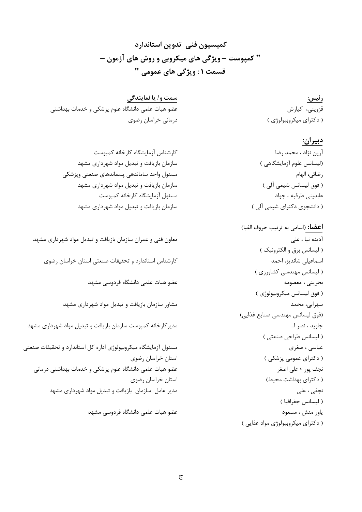كميسيون فنى تدوين استاندارد " کمپوست – ویژگی های میکروبی و روش های آزمون – قسمت ۱ : ویژگی های عمومی "

سمت و/ یا نمایندگی عضو هیات علمی دانشگاه علوم پزشکی و خدمات بهداشتی درمانی خراسان رضوی

رئيس: قزوینی، کیارش ( دکترای میکروبیولوژی )

## دبيران:

آرين نژاد ، محمد رضا (لیسانس علوم آزمایشگاهی ) رضائي، الهام ( فوق ليسانس شيمي آلي ) عابديني طرقبه ، جواد ( دانشجوی دکترای شیمی آلی )

**اعضا:** (اسامی به ترتیب حروف الفبا) آدينه نيا ، علي ( لیسانس برق و الکترونیک ) اسماعیلی شاندیز، احمد ( لیسانس مهندسی کشاورزی ) بحرينى ، معصومه ( فوق ليسانس ميكروبيولوژي ) سهرابي، محمد (فوق ليسانس مهندسي صنايع غذايي) جاوید ، نصر ا... ( ليسانس طراحي صنعتي ) عباسي ، صغرى ( دکترای عمومی پزشکی ) نجف پور ، علی اصغر ( دکترای بهداشت محیط) نجفي ، على ( ليسانس جغرافيا ) ياور منش ، مسعود ( دکترای میکروبیولوژی مواد غذایی)

كارشناس آزمايشگاه كارخانه كمپوست سازمان بازیافت و تبدیل مواد شهرداری مشهد مسئول واحد ساماندهي يسماندهاي صنعتي ويزشكي سازمان بازیافت و تبدیل مواد شهرداری مشهد مسئول آزمايشگاه كارخانه كميوست سازمان بازیافت و تبدیل مواد شهرداری مشهد

معاون فنی و عمران سازمان بازیافت و تبدیل مواد شهرداری مشهد کارشناس استاندارد و تحقیقات صنعتی استان خراسان رضوی عضو هيات علمي دانشگاه فردوسي مشهد مشاور سازمان بازیافت و تبدیل مواد شهرداری مشهد مدیر کارخانه کمپوست سازمان بازیافت و تبدیل مواد شهرداری مشهد مسئول آزمایشگاه میکروبیولوژی اداره کل استاندارد و تحقیقات صنعتی استان خراسان رضوى عضو هیات علمی دانشگاه علوم پزشکی و خدمات بهداشتی درمانی استان خراسان رضوى مدیر عامل سازمان بازیافت و تبدیل مواد شهرداری مشهد عضو هیات علمی دانشگاه فردوسی مشهد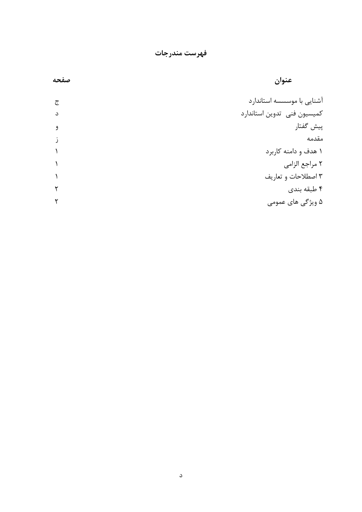فهرست مندرجات

| عنوان                       | صفحه |
|-----------------------------|------|
| آشنایی با موسسسه استاندارد  | ج    |
| كميسيون فنى تدوين استاندارد | د    |
| پیش گفتار                   | و    |
| مقدمه                       |      |
| ۱ هدف و دامنه کاربرد        |      |
| ٢ مراجع الزامي              |      |
| ۳ اصطلاحات و تعاریف         |      |
| ۴ طبقه بندی                 |      |
| ۵ ویژگی های عمومی           |      |
|                             |      |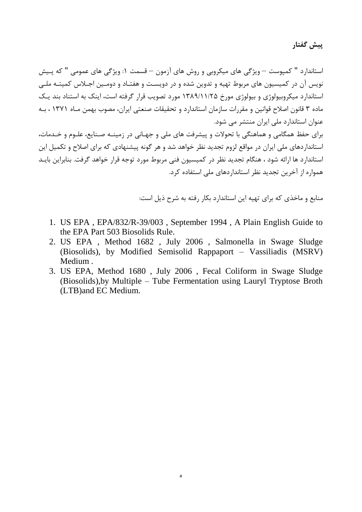پیش گفتار

استاندارد " کمپوست – ویژگی های میکروبی و روش های آزمون – قسمت ۱: ویژگی های عمومی " که پـیش نویس آن در کمیسیون های مربوط تهیه و تدوین شده و در دویست و هفتـاد و دومـین اجـلاس کمیتـه ملـی استاندارد میکروبیولوژی و بیولوژی مورخ ۱۳۸۹/۱۱/۲۵ مورد تصویب قرار گرفته است، اینک به استناد بند یـک ماده ۳ قانون اصلاح قوانین و مقررات سازمان استاندارد و تحقیقات صنعتی ایران، مصوب بهمن مـاه ۱۳۷۱ ، بـه عنوان استاندارد ملی ایران منتشر می شود.

برای حفظ همگامی و هماهنگی با تحولات و پیشرفت های ملی و جهـانی در زمینـه صـنایع، علـوم و خـدمات، استانداردهای ملی ایران در مواقع لزوم تجدید نظر خواهد شد و هر گونه پیشنهادی که برای اصلاح و تکمیل این استاندارد ها ارائه شود ، هنگام تجدید نظر در کمیسیون فنی مربوط مورد توجه قرار خواهد گرفت. بنابراین بایـد همواره از آخرین تجدید نظر استانداردهای ملی استفاده کرد.

منابع و ماخذی که برای تهیه این استاندارد بکار رفته به شرح ذیل است:

- 1. US EPA, EPA/832/R-39/003, September 1994, A Plain English Guide to the EPA Part 503 Biosolids Rule.
- 2. US EPA, Method 1682, July 2006, Salmonella in Swage Sludge (Biosolids), by Modified Semisolid Rappaport - Vassiliadis (MSRV) Medium.
- 3. US EPA, Method 1680, July 2006, Fecal Coliform in Swage Sludge (Biosolids), by Multiple - Tube Fermentation using Lauryl Tryptose Broth (LTB) and EC Medium.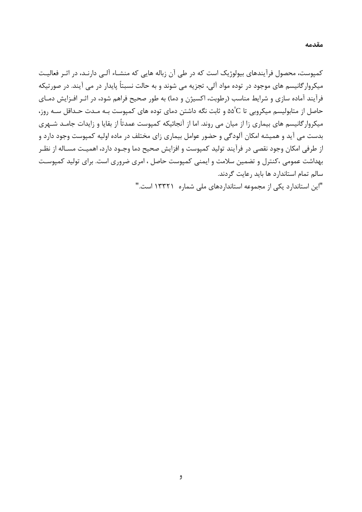کمپوست، محصول فرآیندهای بیولوژیک است که در طی آن زباله هایی که منشـاء آلـی دارنـد، در اثـر فعالیـت میکروار گانیسم های موجود در توده مواد آلی، تجزیه می شوند و به حالت نسبتاً پایدار در می آیند. در صورتیکه فرآیند آماده سازی و شرایط مناسب (رطوبت، اکسیژن و دما) به طور صحیح فراهم شود، در اثـر افـزایش دمـای حاصل از متابولیسم میکروبی تا ۵۵°C و ثابت نگه داشتن دمای توده های کمپوست بـه مـدت حـداقل سـه روز، میکروار گانیسم های بیماری زا از میان می روند. اما از آنجائیکه کمیوست عمدتاً از بقایا و زایدات جامـد شــهری بدست می آید و همیشه امکان آلودگی و حضور عوامل بیماری زای مختلف در ماده اولیه کمپوست وجود دارد و از طرفی امکان وجود نقصی در فرآیند تولید کمیوست و افزایش صحیح دما وجـود دارد، اهمیـت مسـاله از نظـر بهداشت عمومی ،کنترل و تضمین سلامت و ایمنی کمپوست حاصل ، امری ضروری است. برای تولید کمپوست سالم تمام استاندارد ها باید رعایت گردند.

"این استاندارد یکی از مجموعه استانداردهای ملی شماره ۱۳۳۲۱ است."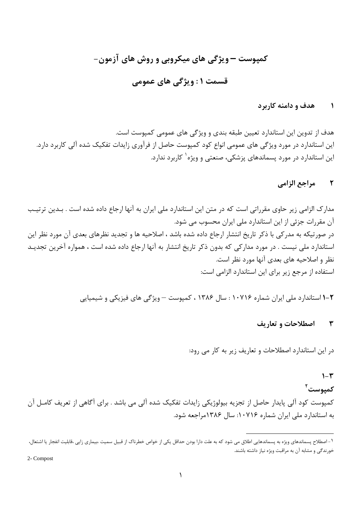# کمپوست —ویژگی های میکروبی و روش های آزمون-قسمت ۱: ویژگی های عمومی

#### هدف و دامنه کاربرد  $\lambda$

هدف از تدوین این استاندارد تعیین طبقه بندی و ویژگی های عمومی کمپوست است. این استاندارد در مورد ویژگی های عمومی انواع کود کمپوست حاصل از فرآوری زایدات تفکیک شده آلی کاربرد دارد. این استاندارد در مورد پسماندهای پزشکی، صنعتی و ویژه<sup>۱</sup> کاربرد ندارد.

#### مراجع الزامي  $\mathbf{r}$

مدارک الزامی زیر حاوی مقرراتی است که در متن این استاندارد ملی ایران به آنها ارجاع داده شده است . بـدین ترتیـب آن مقررات جزئی از این استاندارد ملی ایران محسوب می شود. در صورتیکه به مدرکی با ذکر تاریخ انتشار ارجاع داده شده باشد ، اصلاحیه ها و تجدید نظرهای بعدی آن مورد نظر این استاندارد ملی نیست . در مورد مدارکی که بدون ذکر تاریخ انتشار به آنها ارجاع داده شده است ، همواره آخرین تجدیـد نظر و اصلاحیه های بعدی آنها مورد نظر است. استفاده از مرجع زیر برای این استاندارد الزامی است:

۲–۱ استاندارد ملی ایران شماره ۱۰۷۱۶ : سال ۱۳۸۶ ، کمپوست — ویژگی های فیزیکی و شیمیایی

#### اصطلاحات و تعاریف  $\mathbf{r}$

در این استاندارد اصطلاحات و تعاریف زیر به کار می رود:

## $1-\mathcal{r}$

کمیوست<sup>۲</sup>

کمپوست کود آلی پایدار حاصل از تجزیه بیولوژیکی زایدات تفکیک شده آلی می باشد . برای آگاهی از تعریف کامـل آن به استاندارد ملی ایران شماره ۱۰۷۱۶: سال ۱۳۸۶مراجعه شود.

2- Compost

ا – اصطلاح پسماندهای ویژه به پسماندهایی اطلاق می شود که به علت دارا بودن حداقل یکی از خواص خطرناک از قبیل سمیت ،بیماری زایی ،قابلیت انفجار یا اشتعال، خورندگی و مشابه آن به مراقبت ویژه نیاز داشته باشند.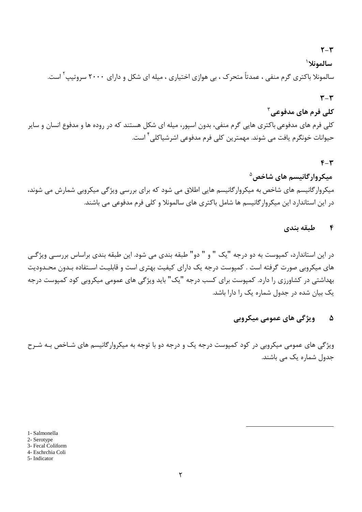## $Y - Y$

سالمونلا<sup>ا</sup>

سالمونلا باکتری گرم منفی ، عمدتاً متحرک ، بی هوازی اختیاری ، میله ای شکل و دارای ۲۰۰۰ سروتیپ<sup>۲</sup> است.

### $\mathbf{r}-\mathbf{r}$

## کلي فرم هاي مدفوعي <sup>۳</sup>

کلی فرم های مدفوعی باکتری هایی گرم منفی، بدون اسپور، میله ای شکل هستند که در روده ها و مدفوع انسان و سایر حيوانات خونگرم يافت مي شوند. مهمترين كلي فرم مدفوعي اشرشياكلي<sup>۴</sup> است.

### $F - T$

## میکروارگانیسم های شاخص<sup>۵</sup> میکروار گانیسم های شاخص به میکروار گانیسم هایی اطلاق می شود که برای بررسی ویژگی میکروبی شمارش می شوند، در این استاندارد این میکروار گانیسم ها شامل باکتری های سالمونلا و کلی فرم مدفوعی می باشند.

#### طبقه بندى  $\mathbf{r}$

در این استاندارد، کمپوست به دو درجه "یک " و " دو" طبقه بندی می شود. این طبقه بندی براساس بررسـی ویژگـی های میکروبی صورت گرفته است . کمپوست درجه یک دارای کیفیت بهتری است و قابلیـت اسـتفاده بـدون محـدودیت بهداشتی در کشاورزی را دارد. کمپوست برای کسب درجه "یک" باید ویژگی های عمومی میکروبی کود کمپوست درجه یک بیان شده در جدول شماره یک را دارا باشد.

#### ويژگى هاي عمومى ميكروبي ۵

ویژگی های عمومی میکروبی در کود کمپوست درجه یک و درجه دو با توجه به میکروارگانیسم های شـاخص بـه شـرح جدول شمارہ یک مے باشند.

1- Salmonella

2- Serotype

3- Fecal Coliform

4- Eschrchia Coli

5- Indicator